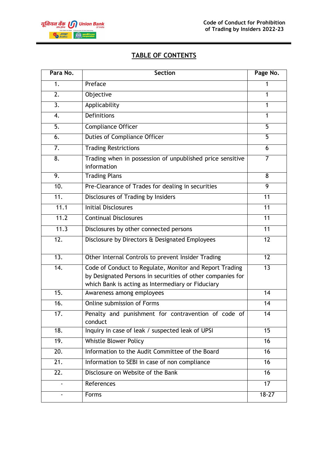

# **TABLE OF CONTENTS**

| Para No.          | <b>Section</b>                                                                                                                                                             | Page No.        |
|-------------------|----------------------------------------------------------------------------------------------------------------------------------------------------------------------------|-----------------|
| 1.                | Preface                                                                                                                                                                    | 1               |
| 2.                | Objective                                                                                                                                                                  | $\mathbf{1}$    |
| 3.                | Applicability                                                                                                                                                              | 1               |
| 4.                | <b>Definitions</b>                                                                                                                                                         | 1               |
| 5.                | <b>Compliance Officer</b>                                                                                                                                                  | 5               |
| 6.                | <b>Duties of Compliance Officer</b>                                                                                                                                        | 5               |
| 7.                | <b>Trading Restrictions</b>                                                                                                                                                | 6               |
| 8.                | Trading when in possession of unpublished price sensitive<br>information                                                                                                   | $\overline{7}$  |
| 9.                | <b>Trading Plans</b>                                                                                                                                                       | 8               |
| 10.               | Pre-Clearance of Trades for dealing in securities                                                                                                                          | 9               |
| $\overline{11}$ . | Disclosures of Trading by Insiders                                                                                                                                         | 11              |
| 11.1              | <b>Initial Disclosures</b>                                                                                                                                                 | 11              |
| 11.2              | <b>Continual Disclosures</b>                                                                                                                                               | 11              |
| 11.3              | Disclosures by other connected persons                                                                                                                                     | 11              |
| $\overline{12}$ . | Disclosure by Directors & Designated Employees                                                                                                                             | 12              |
| $\overline{13.}$  | Other Internal Controls to prevent Insider Trading                                                                                                                         | 12              |
| 14.               | Code of Conduct to Regulate, Monitor and Report Trading<br>by Designated Persons in securities of other companies for<br>which Bank is acting as Intermediary or Fiduciary | 13              |
| 15.               | Awareness among employees                                                                                                                                                  | 14              |
| 16.               | Online submission of Forms                                                                                                                                                 | 14              |
| 17.               | Penalty and punishment for contravention of code of<br>conduct                                                                                                             | 14              |
| $\overline{18}$ . | Inquiry in case of leak / suspected leak of UPSI                                                                                                                           | 15              |
| 19.               | Whistle Blower Policy                                                                                                                                                      | 16              |
| $\overline{20}$ . | Information to the Audit Committee of the Board                                                                                                                            | 16              |
| 21.               | Information to SEBI in case of non compliance                                                                                                                              | 16              |
| $\overline{22}$ . | Disclosure on Website of the Bank                                                                                                                                          | 16 <sup>1</sup> |
|                   | References                                                                                                                                                                 | $\overline{17}$ |
|                   | Forms                                                                                                                                                                      | $18 - 27$       |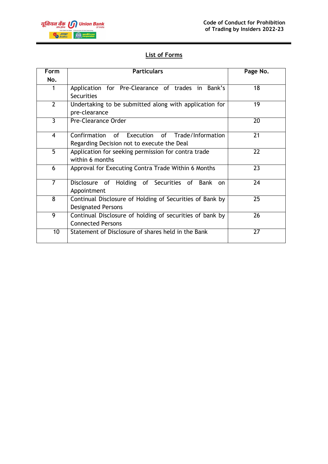

# **List of Forms**

| <b>Form</b>    | <b>Particulars</b>                                                             | Page No. |
|----------------|--------------------------------------------------------------------------------|----------|
| No.            |                                                                                |          |
| 1              | Application for Pre-Clearance of trades in Bank's                              | 18       |
|                | <b>Securities</b>                                                              |          |
| $\overline{2}$ | Undertaking to be submitted along with application for                         | 19       |
|                | pre-clearance                                                                  |          |
| $\overline{3}$ | Pre-Clearance Order                                                            | 20       |
| $\overline{4}$ | Confirmation of Execution of Trade/Information                                 | 21       |
|                | Regarding Decision not to execute the Deal                                     |          |
| $\overline{5}$ | Application for seeking permission for contra trade                            | 22       |
|                | within 6 months                                                                |          |
| 6              | Approval for Executing Contra Trade Within 6 Months                            | 23       |
| $\overline{7}$ | Disclosure of Holding of Securities of<br>Bank<br><sub>on</sub><br>Appointment | 24       |
| 8              | Continual Disclosure of Holding of Securities of Bank by                       | 25       |
|                | <b>Designated Persons</b>                                                      |          |
| $\overline{9}$ | Continual Disclosure of holding of securities of bank by                       | 26       |
|                | <b>Connected Persons</b>                                                       |          |
| 10             | Statement of Disclosure of shares held in the Bank                             | 27       |
|                |                                                                                |          |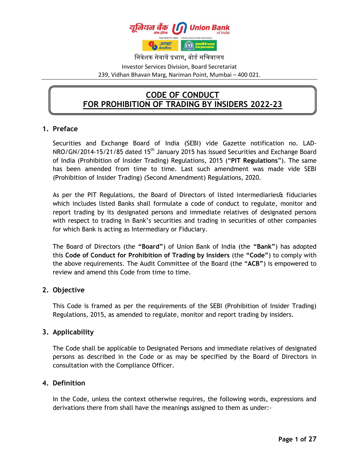

निवेशक सेवायें प्रभाग**,** बोर्ड सनिवालय

Investor Services Division, Board Secretariat 239, Vidhan Bhavan Marg, Nariman Point, Mumbai – 400 021.

# **CODE OF CONDUCT FOR PROHIBITION OF TRADING BY INSIDERS 2022-23**

# **1. Preface**

Securities and Exchange Board of India (SEBI) vide Gazette notification no. LAD-NRO/GN/2014-15/21/85 dated 15<sup>th</sup> January 2015 has issued Securities and Exchange Board of India (Prohibition of Insider Trading) Regulations, 2015 ("**PIT Regulations**"). The same has been amended from time to time. Last such amendment was made vide SEBI (Prohibition of Insider Trading) (Second Amendment) Regulations, 2020.

As per the PIT Regulations, the Board of Directors of listed intermediaries& fiduciaries which includes listed Banks shall formulate a code of conduct to regulate, monitor and report trading by its designated persons and immediate relatives of designated persons with respect to trading in Bank's securities and trading in securities of other companies for which Bank is acting as Intermediary or Fiduciary.

The Board of Directors (the **"Board"**) of Union Bank of India (the **"Bank"**) has adopted this **Code of Conduct for Prohibition of Trading by Insiders** (the **"Code"**) to comply with the above requirements. The Audit Committee of the Board (the "**ACB"**) is empowered to review and amend this Code from time to time.

# **2. Objective**

This Code is framed as per the requirements of the SEBI (Prohibition of Insider Trading) Regulations, 2015, as amended to regulate, monitor and report trading by insiders.

# **3. Applicability**

The Code shall be applicable to Designated Persons and immediate relatives of designated persons as described in the Code or as may be specified by the Board of Directors in consultation with the Compliance Officer.

# **4. Definition**

In the Code, unless the context otherwise requires, the following words, expressions and derivations there from shall have the meanings assigned to them as under:-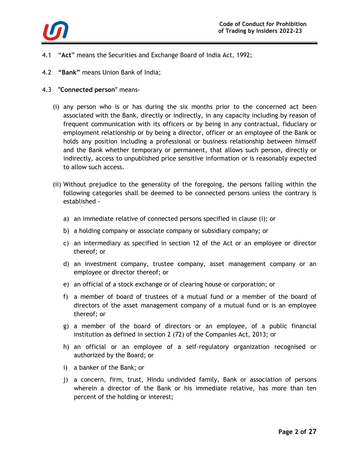

- 4.1 "**Act**" means the Securities and Exchange Board of India Act, 1992;
- 4.2 **"Bank"** means Union Bank of India;
- 4.3 **"Connected person"** means-
	- (i) any person who is or has during the six months prior to the concerned act been associated with the Bank, directly or indirectly, in any capacity including by reason of frequent communication with its officers or by being in any contractual, fiduciary or employment relationship or by being a director, officer or an employee of the Bank or holds any position including a professional or business relationship between himself and the Bank whether temporary or permanent, that allows such person, directly or indirectly, access to unpublished price sensitive information or is reasonably expected to allow such access.
	- (ii) Without prejudice to the generality of the foregoing, the persons falling within the following categories shall be deemed to be connected persons unless the contrary is established
		- a) an immediate relative of connected persons specified in clause (i); or
		- b) a holding company or associate company or subsidiary company; or
		- c) an intermediary as specified in section 12 of the Act or an employee or director thereof; or
		- d) an investment company, trustee company, asset management company or an employee or director thereof; or
		- e) an official of a stock exchange or of clearing house or corporation; or
		- f) a member of board of trustees of a mutual fund or a member of the board of directors of the asset management company of a mutual fund or is an employee thereof; or
		- g) a member of the board of directors or an employee, of a public financial institution as defined in section 2 (72) of the Companies Act, 2013; or
		- h) an official or an employee of a self-regulatory organization recognised or authorized by the Board; or
		- i) a banker of the Bank; or
		- j) a concern, firm, trust, Hindu undivided family, Bank or association of persons wherein a director of the Bank or his immediate relative, has more than ten percent of the holding or interest;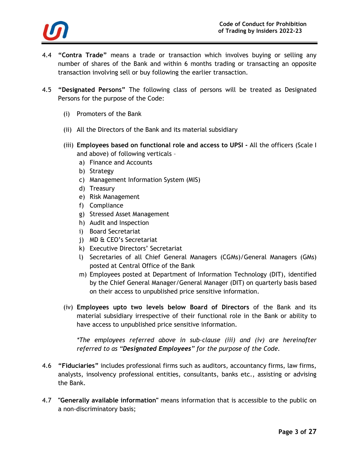

- 4.4 **"Contra Trade"** means a trade or transaction which involves buying or selling any number of shares of the Bank and within 6 months trading or transacting an opposite transaction involving sell or buy following the earlier transaction.
- 4.5 **"Designated Persons"** The following class of persons will be treated as Designated Persons for the purpose of the Code:
	- (i) Promoters of the Bank
	- (ii) All the Directors of the Bank and its material subsidiary
	- (iii) **Employees based on functional role and access to UPSI -** All the officers (Scale I and above) of following verticals –
		- a) Finance and Accounts
		- b) Strategy
		- c) Management Information System (MIS)
		- d) Treasury
		- e) Risk Management
		- f) Compliance
		- g) Stressed Asset Management
		- h) Audit and Inspection
		- i) Board Secretariat
		- j) MD & CEO's Secretariat
		- k) Executive Directors' Secretariat
		- l) Secretaries of all Chief General Managers (CGMs)/General Managers (GMs) posted at Central Office of the Bank
		- m) Employees posted at Department of Information Technology (DIT), identified by the Chief General Manager/General Manager (DIT) on quarterly basis based on their access to unpublished price sensitive information.
	- (iv) **Employees upto two levels below Board of Directors** of the Bank and its material subsidiary irrespective of their functional role in the Bank or ability to have access to unpublished price sensitive information.

*\*The employees referred above in sub-clause (iii) and (iv) are hereinafter referred to as "Designated Employees" for the purpose of the Code.*

- 4.6 **"Fiduciaries"** includes professional firms such as auditors, accountancy firms, law firms, analysts, insolvency professional entities, consultants, banks etc., assisting or advising the Bank.
- 4.7 **"Generally available information"** means information that is accessible to the public on a non-discriminatory basis;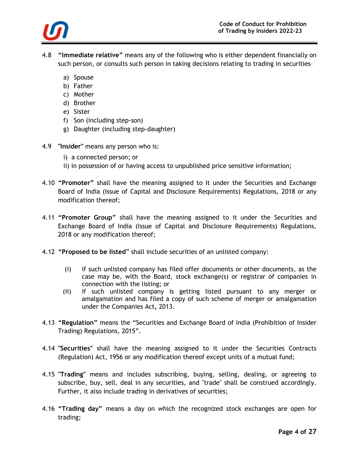

- 4.8 **"Immediate relative"** means any of the following who is either dependent financially on such person, or consults such person in taking decisions relating to trading in securities–
	- a) Spouse
	- b) Father
	- c) Mother
	- d) Brother
	- e) Sister
	- f) Son (including step-son)
	- g) Daughter (including step-daughter)
- 4.9 **"Insider"** means any person who is:
	- i) a connected person; or
	- ii) in possession of or having access to unpublished price sensitive information;
- 4.10 **"Promoter"** shall have the meaning assigned to it under the Securities and Exchange Board of India (Issue of Capital and Disclosure Requirements) Regulations, 2018 or any modification thereof;
- 4.11 **"Promoter Group"** shall have the meaning assigned to it under the Securities and Exchange Board of India (Issue of Capital and Disclosure Requirements) Regulations, 2018 or any modification thereof;
- 4.12 **"Proposed to be listed**" shall include securities of an unlisted company:
	- (i) if such unlisted company has filed offer documents or other documents, as the case may be, with the Board, stock exchange(s) or registrar of companies in connection with the listing; or
	- (ii) if such unlisted company is getting listed pursuant to any merger or amalgamation and has filed a copy of such scheme of merger or amalgamation under the Companies Act**,** 2013.
- 4.13 **"Regulation"** means the "Securities and Exchange Board of India (Prohibition of Insider Trading) Regulations, 2015".
- 4.14 **"Securities"** shall have the meaning assigned to it under the Securities Contracts (Regulation) Act, 1956 or any modification thereof except units of a mutual fund;
- 4.15 **"Trading"** means and includes subscribing, buying, selling, dealing, or agreeing to subscribe, buy, sell, deal in any securities, and "trade" shall be construed accordingly. Further, it also include trading in derivatives of securities;
- 4.16 **"Trading day"** means a day on which the recognized stock exchanges are open for trading;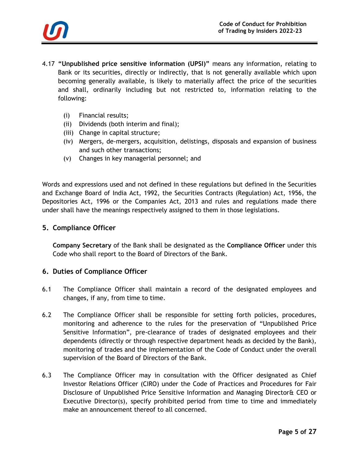

- 4.17 **"Unpublished price sensitive information (UPSI)"** means any information, relating to Bank or its securities, directly or indirectly, that is not generally available which upon becoming generally available, is likely to materially affect the price of the securities and shall, ordinarily including but not restricted to, information relating to the following:
	- (i) Financial results;
	- (ii) Dividends (both interim and final);
	- (iii) Change in capital structure;
	- (iv) Mergers, de-mergers, acquisition, delistings, disposals and expansion of business and such other transactions;
	- (v) Changes in key managerial personnel; and

Words and expressions used and not defined in these regulations but defined in the Securities and Exchange Board of India Act, 1992, the Securities Contracts (Regulation) Act, 1956, the Depositories Act, 1996 or the Companies Act, 2013 and rules and regulations made there under shall have the meanings respectively assigned to them in those legislations.

### **5. Compliance Officer**

**Company Secretary** of the Bank shall be designated as the **Compliance Officer** under this Code who shall report to the Board of Directors of the Bank.

### **6. Duties of Compliance Officer**

- 6.1 The Compliance Officer shall maintain a record of the designated employees and changes, if any, from time to time.
- 6.2 The Compliance Officer shall be responsible for setting forth policies, procedures, monitoring and adherence to the rules for the preservation of "Unpublished Price Sensitive Information", pre-clearance of trades of designated employees and their dependents (directly or through respective department heads as decided by the Bank), monitoring of trades and the implementation of the Code of Conduct under the overall supervision of the Board of Directors of the Bank.
- 6.3 The Compliance Officer may in consultation with the Officer designated as Chief Investor Relations Officer (CIRO) under the Code of Practices and Procedures for Fair Disclosure of Unpublished Price Sensitive Information and Managing Director& CEO or Executive Director(s), specify prohibited period from time to time and immediately make an announcement thereof to all concerned.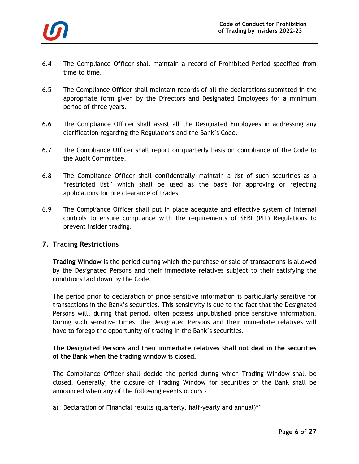

- 6.4 The Compliance Officer shall maintain a record of Prohibited Period specified from time to time.
- 6.5 The Compliance Officer shall maintain records of all the declarations submitted in the appropriate form given by the Directors and Designated Employees for a minimum period of three years.
- 6.6 The Compliance Officer shall assist all the Designated Employees in addressing any clarification regarding the Regulations and the Bank's Code.
- 6.7 The Compliance Officer shall report on quarterly basis on compliance of the Code to the Audit Committee.
- 6.8 The Compliance Officer shall confidentially maintain a list of such securities as a "restricted list" which shall be used as the basis for approving or rejecting applications for pre clearance of trades.
- 6.9 The Compliance Officer shall put in place adequate and effective system of internal controls to ensure compliance with the requirements of SEBI (PIT) Regulations to prevent insider trading.

# **7. Trading Restrictions**

**Trading Window** is the period during which the purchase or sale of transactions is allowed by the Designated Persons and their immediate relatives subject to their satisfying the conditions laid down by the Code.

The period prior to declaration of price sensitive information is particularly sensitive for transactions in the Bank's securities. This sensitivity is due to the fact that the Designated Persons will, during that period, often possess unpublished price sensitive information. During such sensitive times, the Designated Persons and their immediate relatives will have to forego the opportunity of trading in the Bank's securities.

### **The Designated Persons and their immediate relatives shall not deal in the securities of the Bank when the trading window is closed.**

The Compliance Officer shall decide the period during which Trading Window shall be closed. Generally, the closure of Trading Window for securities of the Bank shall be announced when any of the following events occurs -

a) Declaration of Financial results (quarterly, half-yearly and annual)\*\*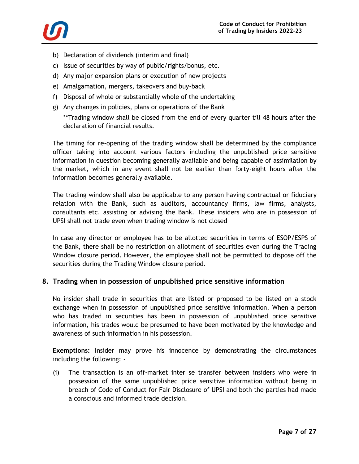

- b) Declaration of dividends (interim and final)
- c) Issue of securities by way of public/rights/bonus, etc.
- d) Any major expansion plans or execution of new projects
- e) Amalgamation, mergers, takeovers and buy-back
- f) Disposal of whole or substantially whole of the undertaking
- g) Any changes in policies, plans or operations of the Bank

\*\*Trading window shall be closed from the end of every quarter till 48 hours after the declaration of financial results.

The timing for re-opening of the trading window shall be determined by the compliance officer taking into account various factors including the unpublished price sensitive information in question becoming generally available and being capable of assimilation by the market, which in any event shall not be earlier than forty-eight hours after the information becomes generally available.

The trading window shall also be applicable to any person having contractual or fiduciary relation with the Bank, such as auditors, accountancy firms, law firms, analysts, consultants etc. assisting or advising the Bank. These insiders who are in possession of UPSI shall not trade even when trading window is not closed

In case any director or employee has to be allotted securities in terms of ESOP/ESPS of the Bank, there shall be no restriction on allotment of securities even during the Trading Window closure period. However, the employee shall not be permitted to dispose off the securities during the Trading Window closure period.

# **8. Trading when in possession of unpublished price sensitive information**

No insider shall trade in securities that are listed or proposed to be listed on a stock exchange when in possession of unpublished price sensitive information. When a person who has traded in securities has been in possession of unpublished price sensitive information, his trades would be presumed to have been motivated by the knowledge and awareness of such information in his possession.

**Exemptions:** Insider may prove his innocence by demonstrating the circumstances including the following: -

(i) The transaction is an off-market inter se transfer between insiders who were in possession of the same unpublished price sensitive information without being in breach of Code of Conduct for Fair Disclosure of UPSI and both the parties had made a conscious and informed trade decision.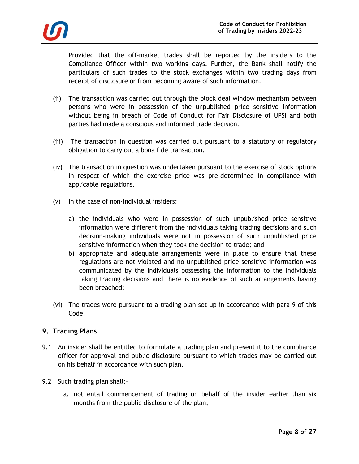

Provided that the off-market trades shall be reported by the insiders to the Compliance Officer within two working days. Further, the Bank shall notify the particulars of such trades to the stock exchanges within two trading days from receipt of disclosure or from becoming aware of such information.

- (ii) The transaction was carried out through the block deal window mechanism between persons who were in possession of the unpublished price sensitive information without being in breach of Code of Conduct for Fair Disclosure of UPSI and both parties had made a conscious and informed trade decision.
- (iii) The transaction in question was carried out pursuant to a statutory or regulatory obligation to carry out a bona fide transaction.
- (iv) The transaction in question was undertaken pursuant to the exercise of stock options in respect of which the exercise price was pre-determined in compliance with applicable regulations.
- (v) in the case of non-individual insiders:
	- a) the individuals who were in possession of such unpublished price sensitive information were different from the individuals taking trading decisions and such decision-making individuals were not in possession of such unpublished price sensitive information when they took the decision to trade; and
	- b) appropriate and adequate arrangements were in place to ensure that these regulations are not violated and no unpublished price sensitive information was communicated by the individuals possessing the information to the individuals taking trading decisions and there is no evidence of such arrangements having been breached;
- (vi) The trades were pursuant to a trading plan set up in accordance with para 9 of this Code.

# **9. Trading Plans**

- 9.1 An insider shall be entitled to formulate a trading plan and present it to the compliance officer for approval and public disclosure pursuant to which trades may be carried out on his behalf in accordance with such plan.
- 9.2 Such trading plan shall:
	- a. not entail commencement of trading on behalf of the insider earlier than six months from the public disclosure of the plan;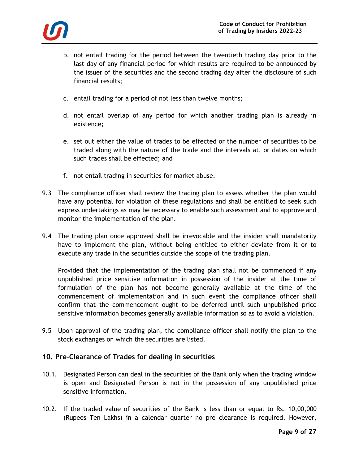

- b. not entail trading for the period between the twentieth trading day prior to the last day of any financial period for which results are required to be announced by the issuer of the securities and the second trading day after the disclosure of such financial results;
- c. entail trading for a period of not less than twelve months;
- d. not entail overlap of any period for which another trading plan is already in existence;
- e. set out either the value of trades to be effected or the number of securities to be traded along with the nature of the trade and the intervals at, or dates on which such trades shall be effected; and
- f. not entail trading in securities for market abuse.
- 9.3 The compliance officer shall review the trading plan to assess whether the plan would have any potential for violation of these regulations and shall be entitled to seek such express undertakings as may be necessary to enable such assessment and to approve and monitor the implementation of the plan.
- 9.4 The trading plan once approved shall be irrevocable and the insider shall mandatorily have to implement the plan, without being entitled to either deviate from it or to execute any trade in the securities outside the scope of the trading plan.

Provided that the implementation of the trading plan shall not be commenced if any unpublished price sensitive information in possession of the insider at the time of formulation of the plan has not become generally available at the time of the commencement of implementation and in such event the compliance officer shall confirm that the commencement ought to be deferred until such unpublished price sensitive information becomes generally available information so as to avoid a violation.

9.5 Upon approval of the trading plan, the compliance officer shall notify the plan to the stock exchanges on which the securities are listed.

# **10. Pre-Clearance of Trades for dealing in securities**

- 10.1. Designated Person can deal in the securities of the Bank only when the trading window is open and Designated Person is not in the possession of any unpublished price sensitive information.
- 10.2. If the traded value of securities of the Bank is less than or equal to Rs. 10,00,000 (Rupees Ten Lakhs) in a calendar quarter no pre clearance is required. However,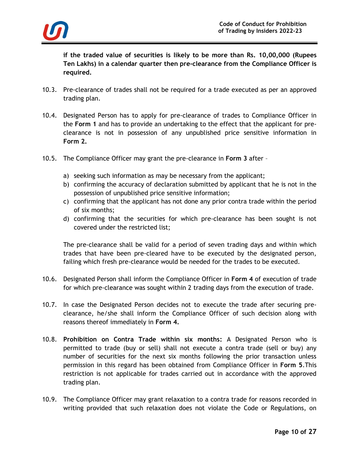

**if the traded value of securities is likely to be more than Rs. 10,00,000 (Rupees Ten Lakhs) in a calendar quarter then pre-clearance from the Compliance Officer is required.**

- 10.3. Pre-clearance of trades shall not be required for a trade executed as per an approved trading plan.
- 10.4. Designated Person has to apply for pre-clearance of trades to Compliance Officer in the **Form 1** and has to provide an undertaking to the effect that the applicant for preclearance is not in possession of any unpublished price sensitive information in **Form 2.**
- 10.5. The Compliance Officer may grant the pre-clearance in **Form 3** after
	- a) seeking such information as may be necessary from the applicant;
	- b) confirming the accuracy of declaration submitted by applicant that he is not in the possession of unpublished price sensitive information;
	- c) confirming that the applicant has not done any prior contra trade within the period of six months;
	- d) confirming that the securities for which pre-clearance has been sought is not covered under the restricted list;

The pre-clearance shall be valid for a period of seven trading days and within which trades that have been pre-cleared have to be executed by the designated person, failing which fresh pre-clearance would be needed for the trades to be executed.

- 10.6. Designated Person shall inform the Compliance Officer in **Form 4** of execution of trade for which pre-clearance was sought within 2 trading days from the execution of trade.
- 10.7. In case the Designated Person decides not to execute the trade after securing preclearance, he/she shall inform the Compliance Officer of such decision along with reasons thereof immediately in **Form 4.**
- 10.8. **Prohibition on Contra Trade within six months:** A Designated Person who is permitted to trade (buy or sell) shall not execute a contra trade (sell or buy) any number of securities for the next six months following the prior transaction unless permission in this regard has been obtained from Compliance Officer in **Form 5**.This restriction is not applicable for trades carried out in accordance with the approved trading plan.
- 10.9. The Compliance Officer may grant relaxation to a contra trade for reasons recorded in writing provided that such relaxation does not violate the Code or Regulations, on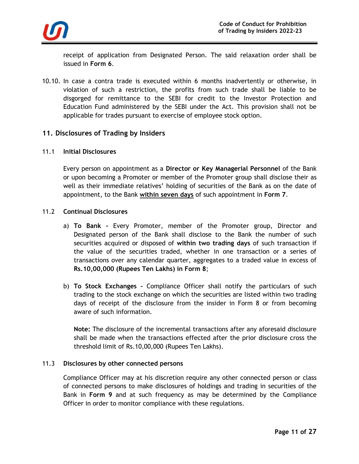

receipt of application from Designated Person. The said relaxation order shall be issued in **Form 6**.

10.10. In case a contra trade is executed within 6 months inadvertently or otherwise, in violation of such a restriction, the profits from such trade shall be liable to be disgorged for remittance to the SEBI for credit to the Investor Protection and Education Fund administered by the SEBI under the Act. This provision shall not be applicable for trades pursuant to exercise of employee stock option.

### **11. Disclosures of Trading by Insiders**

### 11.1 **Initial Disclosures**

Every person on appointment as a **Director or Key Managerial Personnel** of the Bank or upon becoming a Promoter or member of the Promoter group shall disclose their as well as their immediate relatives' holding of securities of the Bank as on the date of appointment, to the Bank **within seven days** of such appointment in **Form 7**.

### 11.2 **Continual Disclosures**

- a) **To Bank -** Every Promoter, member of the Promoter group, Director and Designated person of the Bank shall disclose to the Bank the number of such securities acquired or disposed of **within two trading days** of such transaction if the value of the securities traded, whether in one transaction or a series of transactions over any calendar quarter, aggregates to a traded value in excess of **Rs.10,00,000 (Rupees Ten Lakhs) in Form 8**;
- b) **To Stock Exchanges -** Compliance Officer shall notify the particulars of such trading to the stock exchange on which the securities are listed within two trading days of receipt of the disclosure from the insider in Form 8 or from becoming aware of such information.

**Note:** The disclosure of the incremental transactions after any aforesaid disclosure shall be made when the transactions effected after the prior disclosure cross the threshold limit of Rs.10,00,000 (Rupees Ten Lakhs).

#### 11.3 **Disclosures by other connected persons**

Compliance Officer may at his discretion require any other connected person or class of connected persons to make disclosures of holdings and trading in securities of the Bank in **Form 9** and at such frequency as may be determined by the Compliance Officer in order to monitor compliance with these regulations.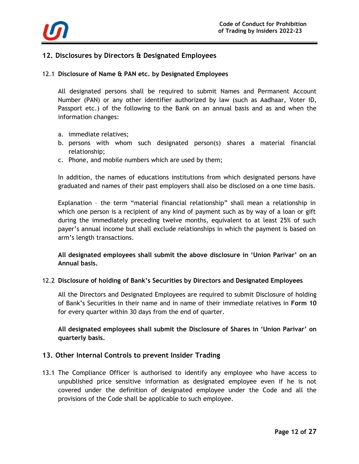

# **12. Disclosures by Directors & Designated Employees**

### 12.1 **Disclosure of Name & PAN etc. by Designated Employees**

All designated persons shall be required to submit Names and Permanent Account Number (PAN) or any other identifier authorized by law (such as Aadhaar, Voter ID, Passport etc.) of the following to the Bank on an annual basis and as and when the information changes:

- a. immediate relatives;
- b. persons with whom such designated person(s) shares a material financial relationship;
- c. Phone, and mobile numbers which are used by them;

In addition, the names of educations institutions from which designated persons have graduated and names of their past employers shall also be disclosed on a one time basis.

Explanation – the term "material financial relationship" shall mean a relationship in which one person is a recipient of any kind of payment such as by way of a loan or gift during the immediately preceding twelve months, equivalent to at least 25% of such payer's annual income but shall exclude relationships in which the payment is based on arm's length transactions.

**All designated employees shall submit the above disclosure in 'Union Parivar' on an Annual basis.**

### 12.2 **Disclosure of holding of Bank's Securities by Directors and Designated Employees**

All the Directors and Designated Employees are required to submit Disclosure of holding of Bank's Securities in their name and in name of their immediate relatives in **Form 10**  for every quarter within 30 days from the end of quarter.

**All designated employees shall submit the Disclosure of Shares in 'Union Parivar' on quarterly basis.**

### **13. Other Internal Controls to prevent Insider Trading**

13.1 The Compliance Officer is authorised to identify any employee who have access to unpublished price sensitive information as designated employee even if he is not covered under the definition of designated employee under the Code and all the provisions of the Code shall be applicable to such employee.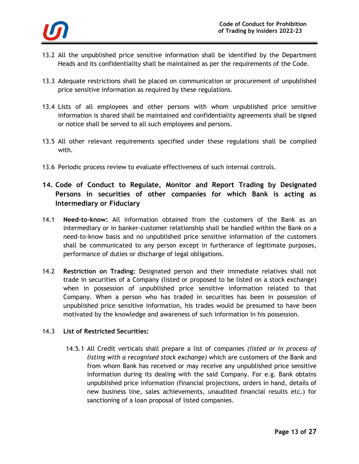

- 13.2 All the unpublished price sensitive information shall be identified by the Department Heads and its confidentiality shall be maintained as per the requirements of the Code.
- 13.3 Adequate restrictions shall be placed on communication or procurement of unpublished price sensitive information as required by these regulations.
- 13.4 Lists of all employees and other persons with whom unpublished price sensitive information is shared shall be maintained and confidentiality agreements shall be signed or notice shall be served to all such employees and persons.
- 13.5 All other relevant requirements specified under these regulations shall be complied with.
- 13.6 Periodic process review to evaluate effectiveness of such internal controls.
- **14. Code of Conduct to Regulate, Monitor and Report Trading by Designated Persons in securities of other companies for which Bank is acting as Intermediary or Fiduciary**
- 14.1 **Need-to-know:** All information obtained from the customers of the Bank as an intermediary or in banker-customer relationship shall be handled within the Bank on a need-to-know basis and no unpublished price sensitive information of the customers shall be communicated to any person except in furtherance of legitimate purposes, performance of duties or discharge of legal obligations.
- 14.2 **Restriction on Trading:** Designated person and their immediate relatives shall not trade in securities of a Company (listed or proposed to be listed on a stock exchange) when in possession of unpublished price sensitive information related to that Company. When a person who has traded in securities has been in possession of unpublished price sensitive information, his trades would be presumed to have been motivated by the knowledge and awareness of such information in his possession.

# 14.3 **List of Restricted Securities:**

14.5.1 All Credit verticals shall prepare a list of companies *(listed or in process of listing with a recognised stock exchange)* which are customers of the Bank and from whom Bank has received or may receive any unpublished price sensitive information during its dealing with the said Company. For e.g. Bank obtains unpublished price information (financial projections, orders in hand, details of new business line, sales achievements, unaudited financial results etc.) for sanctioning of a loan proposal of listed companies.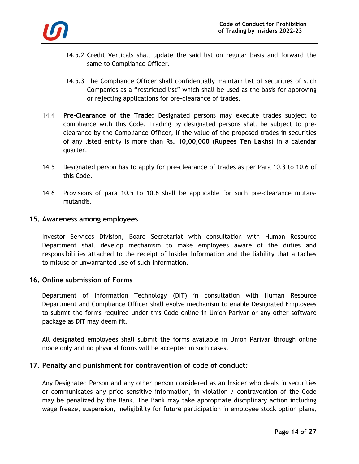

- 14.5.2 Credit Verticals shall update the said list on regular basis and forward the same to Compliance Officer.
- 14.5.3 The Compliance Officer shall confidentially maintain list of securities of such Companies as a "restricted list" which shall be used as the basis for approving or rejecting applications for pre-clearance of trades.
- 14.4 **Pre-Clearance of the Trade:** Designated persons may execute trades subject to compliance with this Code. Trading by designated persons shall be subject to preclearance by the Compliance Officer, if the value of the proposed trades in securities of any listed entity is more than **Rs. 10,00,000 (Rupees Ten Lakhs)** in a calendar quarter.
- 14.5 Designated person has to apply for pre-clearance of trades as per Para 10.3 to 10.6 of this Code.
- 14.6 Provisions of para 10.5 to 10.6 shall be applicable for such pre-clearance mutaismutandis.

### **15. Awareness among employees**

Investor Services Division, Board Secretariat with consultation with Human Resource Department shall develop mechanism to make employees aware of the duties and responsibilities attached to the receipt of Insider Information and the liability that attaches to misuse or unwarranted use of such information.

### **16. Online submission of Forms**

Department of Information Technology (DIT) in consultation with Human Resource Department and Compliance Officer shall evolve mechanism to enable Designated Employees to submit the forms required under this Code online in Union Parivar or any other software package as DIT may deem fit.

All designated employees shall submit the forms available in Union Parivar through online mode only and no physical forms will be accepted in such cases.

# **17. Penalty and punishment for contravention of code of conduct:**

Any Designated Person and any other person considered as an Insider who deals in securities or communicates any price sensitive information, in violation / contravention of the Code may be penalized by the Bank. The Bank may take appropriate disciplinary action including wage freeze, suspension, ineligibility for future participation in employee stock option plans,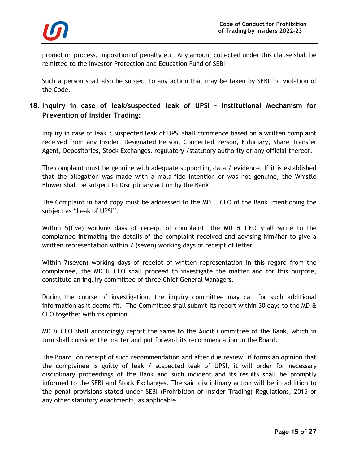

promotion process, imposition of penalty etc. Any amount collected under this clause shall be remitted to the Investor Protection and Education Fund of SEBI

Such a person shall also be subject to any action that may be taken by SEBI for violation of the Code.

# **18. Inquiry in case of leak/suspected leak of UPSI – Institutional Mechanism for Prevention of Insider Trading:**

Inquiry in case of leak / suspected leak of UPSI shall commence based on a written complaint received from any Insider, Designated Person, Connected Person, Fiduciary, Share Transfer Agent, Depositories, Stock Exchanges, regulatory /statutory authority or any official thereof.

The complaint must be genuine with adequate supporting data / evidence. If it is established that the allegation was made with a mala-fide intention or was not genuine, the Whistle Blower shall be subject to Disciplinary action by the Bank.

The Complaint in hard copy must be addressed to the MD & CEO of the Bank, mentioning the subject as "Leak of UPSI".

Within 5(five) working days of receipt of complaint, the MD & CEO shall write to the complainee intimating the details of the complaint received and advising him/her to give a written representation within 7 (seven) working days of receipt of letter.

Within 7(seven) working days of receipt of written representation in this regard from the complainee, the MD  $\&$  CEO shall proceed to investigate the matter and for this purpose, constitute an inquiry committee of three Chief General Managers.

During the course of investigation, the inquiry committee may call for such additional information as it deems fit. The Committee shall submit its report within 30 days to the MD  $\theta$ CEO together with its opinion.

MD & CEO shall accordingly report the same to the Audit Committee of the Bank, which in turn shall consider the matter and put forward its recommendation to the Board.

The Board, on receipt of such recommendation and after due review, if forms an opinion that the complainee is guilty of leak / suspected leak of UPSI, it will order for necessary disciplinary proceedings of the Bank and such incident and its results shall be promptly informed to the SEBI and Stock Exchanges. The said disciplinary action will be in addition to the penal provisions stated under SEBI (Prohibition of Insider Trading) Regulations, 2015 or any other statutory enactments, as applicable.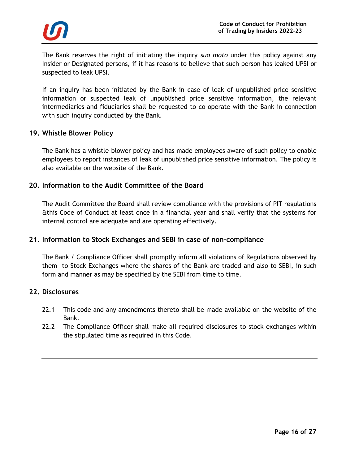

The Bank reserves the right of initiating the inquiry *suo moto* under this policy against any Insider or Designated persons, if it has reasons to believe that such person has leaked UPSI or suspected to leak UPSI.

If an inquiry has been initiated by the Bank in case of leak of unpublished price sensitive information or suspected leak of unpublished price sensitive information, the relevant intermediaries and fiduciaries shall be requested to co-operate with the Bank in connection with such inquiry conducted by the Bank.

### **19. Whistle Blower Policy**

The Bank has a whistle-blower policy and has made employees aware of such policy to enable employees to report instances of leak of unpublished price sensitive information. The policy is also available on the website of the Bank.

### **20. Information to the Audit Committee of the Board**

The Audit Committee the Board shall review compliance with the provisions of PIT regulations &this Code of Conduct at least once in a financial year and shall verify that the systems for internal control are adequate and are operating effectively.

# **21. Information to Stock Exchanges and SEBI in case of non-compliance**

The Bank / Compliance Officer shall promptly inform all violations of Regulations observed by them to Stock Exchanges where the shares of the Bank are traded and also to SEBI, in such form and manner as may be specified by the SEBI from time to time.

### **22. Disclosures**

- 22.1 This code and any amendments thereto shall be made available on the website of the Bank.
- 22.2 The Compliance Officer shall make all required disclosures to stock exchanges within the stipulated time as required in this Code.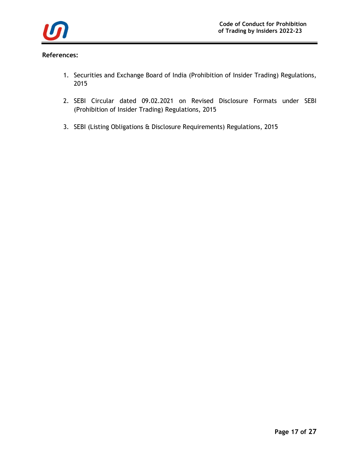

## **References:**

- 1. Securities and Exchange Board of India (Prohibition of Insider Trading) Regulations, 2015
- 2. SEBI Circular dated 09.02.2021 on Revised Disclosure Formats under SEBI (Prohibition of Insider Trading) Regulations, 2015
- 3. SEBI (Listing Obligations & Disclosure Requirements) Regulations, 2015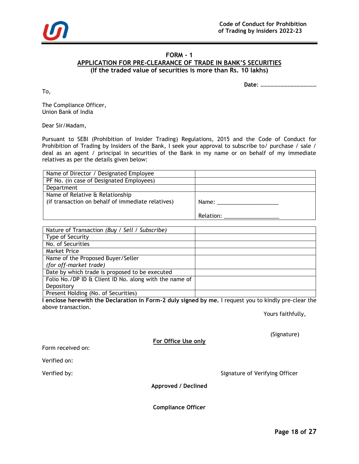

# **FORM - 1**

**APPLICATION FOR PRE-CLEARANCE OF TRADE IN BANK'S SECURITIES**

**(If the traded value of securities is more than Rs. 10 lakhs)**

**Date**: …………………………………

To,

The Compliance Officer, Union Bank of India

Dear Sir/Madam,

Pursuant to SEBI (Prohibition of Insider Trading) Regulations, 2015 and the Code of Conduct for Prohibition of Trading by Insiders of the Bank, I seek your approval to subscribe to/ purchase / sale / deal as an agent / principal in securities of the Bank in my name or on behalf of my immediate relatives as per the details given below:

| Name of Director / Designated Employee            |                |
|---------------------------------------------------|----------------|
| PF No. (in case of Designated Employees)          |                |
| Department                                        |                |
| Name of Relative & Relationship                   |                |
| (if transaction on behalf of immediate relatives) | Name: ________ |
|                                                   |                |
|                                                   | Relation:      |

| Nature of Transaction (Buy / Sell / Subscribe)         |  |
|--------------------------------------------------------|--|
| Type of Security                                       |  |
| No. of Securities                                      |  |
| <b>Market Price</b>                                    |  |
| Name of the Proposed Buyer/Seller                      |  |
| (for off-market trade)                                 |  |
| Date by which trade is proposed to be executed         |  |
| Folio No./DP ID & Client ID No. along with the name of |  |
| Depository                                             |  |
| Present Holding (No. of Securities)                    |  |

**I enclose herewith the Declaration in Form-2 duly signed by me.** I request you to kindly pre-clear the above transaction.

Yours faithfully,

(Signature)

**For Office Use only**

Form received on:

Verified on:

Verified by: Signature of Verifying Officer

**Approved / Declined**

**Compliance Officer**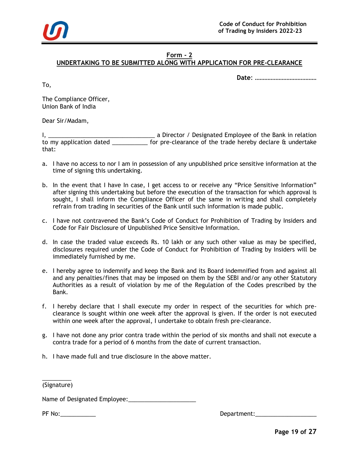

## **Form - 2**

# **UNDERTAKING TO BE SUBMITTED ALONG WITH APPLICATION FOR PRE-CLEARANCE**

**Date**: …………………………………

To,

The Compliance Officer, Union Bank of India

Dear Sir/Madam,

I, \_\_\_\_\_\_\_\_\_\_\_\_\_\_\_\_\_\_\_\_\_\_\_\_\_\_\_\_\_\_\_\_\_ a Director / Designated Employee of the Bank in relation to my application dated \_\_\_\_\_\_\_\_\_\_\_\_ for pre-clearance of the trade hereby declare & undertake that:

- a. I have no access to nor I am in possession of any unpublished price sensitive information at the time of signing this undertaking.
- b. In the event that I have In case, I get access to or receive any "Price Sensitive Information" after signing this undertaking but before the execution of the transaction for which approval is sought, I shall inform the Compliance Officer of the same in writing and shall completely refrain from trading in securities of the Bank until such information is made public.
- c. I have not contravened the Bank's Code of Conduct for Prohibition of Trading by Insiders and Code for Fair Disclosure of Unpublished Price Sensitive Information.
- d. In case the traded value exceeds Rs. 10 lakh or any such other value as may be specified, disclosures required under the Code of Conduct for Prohibition of Trading by Insiders will be immediately furnished by me.
- e. I hereby agree to indemnify and keep the Bank and its Board indemnified from and against all and any penalties/fines that may be imposed on them by the SEBI and/or any other Statutory Authorities as a result of violation by me of the Regulation of the Codes prescribed by the Bank.
- f. I hereby declare that I shall execute my order in respect of the securities for which preclearance is sought within one week after the approval is given. If the order is not executed within one week after the approval, I undertake to obtain fresh pre-clearance.
- g. I have not done any prior contra trade within the period of six months and shall not execute a contra trade for a period of 6 months from the date of current transaction.
- h. I have made full and true disclosure in the above matter.

 $\overline{\phantom{a}}$  , where  $\overline{\phantom{a}}$ (Signature)

Name of Designated Employee:\_\_\_\_\_\_\_\_\_\_\_\_\_\_\_\_\_\_\_\_\_

PF No: The contract of the contract of the contract of the Department: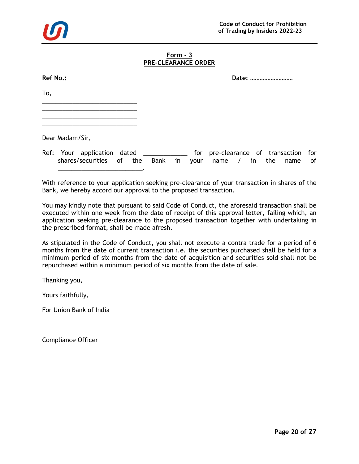

### **Form - 3 PRE-CLEARANCE ORDER**

| <b>Ref No.:</b> | Date: |
|-----------------|-------|
|                 |       |

To,

\_\_\_\_\_\_\_\_\_\_\_\_\_\_\_\_\_\_\_\_\_\_\_\_\_\_\_\_ \_\_\_\_\_\_\_\_\_\_\_\_\_\_\_\_\_\_\_\_\_\_\_\_\_\_\_\_

\_\_\_\_\_\_\_\_\_\_\_\_\_\_\_\_\_\_\_\_\_\_\_\_\_\_\_\_ \_\_\_\_\_\_\_\_\_\_\_\_\_\_\_\_\_\_\_\_\_\_\_\_\_\_\_\_

Dear Madam/Sir,

Ref: Your application dated \_\_\_\_\_\_\_\_\_\_\_\_\_ for pre-clearance of transaction for shares/securities of the Bank in your name / in the name of \_\_\_\_\_\_\_\_\_\_\_\_\_\_\_\_\_\_\_\_\_\_\_\_\_.

With reference to your application seeking pre-clearance of your transaction in shares of the Bank, we hereby accord our approval to the proposed transaction.

You may kindly note that pursuant to said Code of Conduct, the aforesaid transaction shall be executed within one week from the date of receipt of this approval letter, failing which, an application seeking pre-clearance to the proposed transaction together with undertaking in the prescribed format, shall be made afresh.

As stipulated in the Code of Conduct, you shall not execute a contra trade for a period of 6 months from the date of current transaction i.e. the securities purchased shall be held for a minimum period of six months from the date of acquisition and securities sold shall not be repurchased within a minimum period of six months from the date of sale.

Thanking you,

Yours faithfully,

For Union Bank of India

Compliance Officer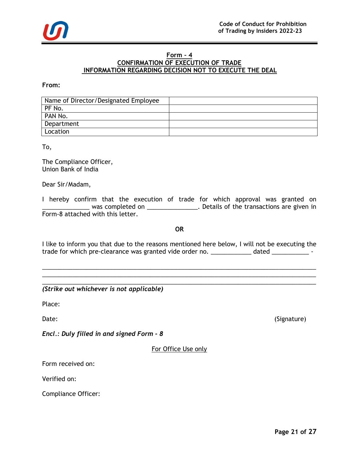### **Form – 4 CONFIRMATION OF EXECUTION OF TRADE INFORMATION REGARDING DECISION NOT TO EXECUTE THE DEAL**

**From:**

| Name of Director/Designated Employee |  |
|--------------------------------------|--|
| PF No.                               |  |
| PAN No.                              |  |
| Department                           |  |
| Location                             |  |

To,

The Compliance Officer, Union Bank of India

Dear Sir/Madam,

I hereby confirm that the execution of trade for which approval was granted on was completed on \_\_\_\_\_\_\_\_\_\_\_\_\_\_\_. Details of the transactions are given in Form-8 attached with this letter.

**OR**

I like to inform you that due to the reasons mentioned here below, I will not be executing the trade for which pre-clearance was granted vide order no. \_\_\_\_\_\_\_\_\_\_\_\_ dated \_\_\_\_\_\_\_\_\_\_\_\_\_\_\_\_\_

\_\_\_\_\_\_\_\_\_\_\_\_\_\_\_\_\_\_\_\_\_\_\_\_\_\_\_\_\_\_\_\_\_\_\_\_\_\_\_\_\_\_\_\_\_\_\_\_\_\_\_\_\_\_\_\_\_\_\_\_\_\_\_\_\_\_\_\_\_\_\_\_\_\_\_\_\_\_\_\_\_ \_\_\_\_\_\_\_\_\_\_\_\_\_\_\_\_\_\_\_\_\_\_\_\_\_\_\_\_\_\_\_\_\_\_\_\_\_\_\_\_\_\_\_\_\_\_\_\_\_\_\_\_\_\_\_\_\_\_\_\_\_\_\_\_\_\_\_\_\_\_\_\_\_\_\_\_\_\_\_\_\_

\_\_\_\_\_\_\_\_\_\_\_\_\_\_\_\_\_\_\_\_\_\_\_\_\_\_\_\_\_\_\_\_\_\_\_\_\_\_\_\_\_\_\_\_\_\_\_\_\_\_\_\_\_\_\_\_\_\_\_\_\_\_\_\_\_\_\_\_\_\_\_\_\_\_\_\_\_\_\_\_\_ *(Strike out whichever is not applicable)*

Place:

Date: (Signature)

*Encl.: Duly filled in and signed Form - 8*

For Office Use only

Form received on:

Verified on:

Compliance Officer: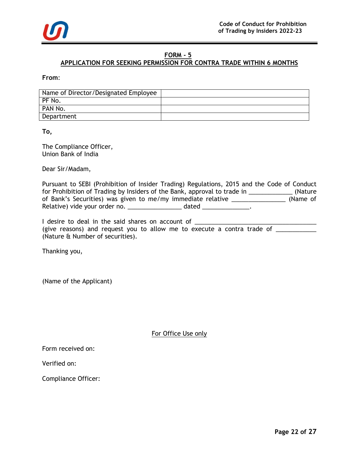

# **FORM - 5**

# **APPLICATION FOR SEEKING PERMISSION FOR CONTRA TRADE WITHIN 6 MONTHS**

**From**:

| Name of Director/Designated Employee |  |
|--------------------------------------|--|
| PF No.                               |  |
| PAN No.                              |  |
| Department                           |  |

**To,** 

The Compliance Officer, Union Bank of India

Dear Sir/Madam,

Pursuant to SEBI (Prohibition of Insider Trading) Regulations, 2015 and the Code of Conduct for Prohibition of Trading by Insiders of the Bank, approval to trade in \_\_\_\_\_\_\_\_\_\_\_\_\_\_\_ (Nature of Bank's Securities) was given to me/my immediate relative \_\_\_\_\_\_\_\_\_\_\_\_\_\_\_\_ (Name of Relative) vide your order no. \_\_\_\_\_\_\_\_\_\_\_\_\_\_\_\_\_\_ dated \_\_\_\_\_\_\_\_\_\_\_\_\_\_.

I desire to deal in the said shares on account of \_\_\_\_\_\_\_\_\_\_\_\_\_\_\_\_\_\_\_\_\_\_\_\_\_\_\_\_\_\_\_\_\_\_\_\_ (give reasons) and request you to allow me to execute a contra trade of \_\_\_\_\_\_\_\_\_ (Nature & Number of securities).

Thanking you,

(Name of the Applicant)

For Office Use only

Form received on:

Verified on:

Compliance Officer: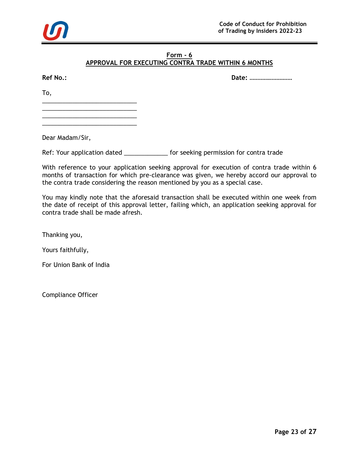

### **Form - 6**

## **APPROVAL FOR EXECUTING CONTRA TRADE WITHIN 6 MONTHS**

**Ref No.: Date: ………………………**

To,

\_\_\_\_\_\_\_\_\_\_\_\_\_\_\_\_\_\_\_\_\_\_\_\_\_\_\_\_ \_\_\_\_\_\_\_\_\_\_\_\_\_\_\_\_\_\_\_\_\_\_\_\_\_\_\_\_

\_\_\_\_\_\_\_\_\_\_\_\_\_\_\_\_\_\_\_\_\_\_\_\_\_\_\_\_ \_\_\_\_\_\_\_\_\_\_\_\_\_\_\_\_\_\_\_\_\_\_\_\_\_\_\_\_

Dear Madam/Sir,

Ref: Your application dated \_\_\_\_\_\_\_\_\_\_\_\_\_\_ for seeking permission for contra trade

With reference to your application seeking approval for execution of contra trade within 6 months of transaction for which pre-clearance was given, we hereby accord our approval to the contra trade considering the reason mentioned by you as a special case.

You may kindly note that the aforesaid transaction shall be executed within one week from the date of receipt of this approval letter, failing which, an application seeking approval for contra trade shall be made afresh.

Thanking you,

Yours faithfully,

For Union Bank of India

Compliance Officer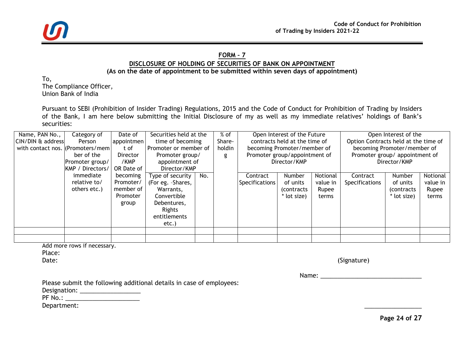

### **FORM – 7**

# **DISCLOSURE OF HOLDING OF SECURITIES OF BANK ON APPOINTMENT**

# **(As on the date of appointment to be submitted within seven days of appointment)**

To, The Compliance Officer, Union Bank of India

Pursuant to SEBI (Prohibition of Insider Trading) Regulations, 2015 and the Code of Conduct for Prohibition of Trading by Insiders of the Bank, I am here below submitting the Initial Disclosure of my as well as my immediate relatives' holdings of Bank's securities:

| Name, PAN No.,                    | Category of      | Date of    | Securities held at the  | $%$ of |        | Open Interest of the Future   |                               | Open Interest of the                 |                |                                |          |  |
|-----------------------------------|------------------|------------|-------------------------|--------|--------|-------------------------------|-------------------------------|--------------------------------------|----------------|--------------------------------|----------|--|
| CIN/DIN & address                 | Person           | appointmen | time of becoming        | Share- |        | contracts held at the time of |                               | Option Contracts held at the time of |                |                                |          |  |
| with contact nos. (Promoters/mem) |                  | t of       | l Promoter or member of |        | holdin |                               | becoming Promoter/member of   |                                      |                | becoming Promoter/member of    |          |  |
|                                   | ber of the       | Director   | Promoter group/         |        | g      |                               | Promoter group/appointment of |                                      |                | Promoter group/ appointment of |          |  |
|                                   | Promoter group/  | /KMP       | appointment of          |        |        |                               | Director/KMP                  |                                      |                | Director/KMP                   |          |  |
|                                   | KMP / Directors/ | OR Date of | Director/KMP            |        |        |                               |                               |                                      |                |                                |          |  |
|                                   | immediate        | becoming   | Type of security        | No.    |        | Contract                      | Number                        | Notional                             | Contract       | <b>Number</b>                  | Notional |  |
|                                   | relative to/     | Promoter/  | (For eg. -Shares,       |        |        | <b>Specifications</b>         | of units                      | value in                             | Specifications | of units                       | value in |  |
|                                   | others etc.)     | member of  | Warrants,               |        |        |                               | <i>(contracts)</i>            | Rupee                                |                | <i>(contracts)</i>             | Rupee    |  |
|                                   |                  | Promoter   | Convertible             |        |        |                               | * lot size)                   | terms                                |                | * lot size)                    | terms    |  |
|                                   |                  | group      | Debentures,             |        |        |                               |                               |                                      |                |                                |          |  |
|                                   |                  |            | Rights                  |        |        |                               |                               |                                      |                |                                |          |  |
|                                   |                  |            | entitlements            |        |        |                               |                               |                                      |                |                                |          |  |
|                                   |                  |            | etc.)                   |        |        |                               |                               |                                      |                |                                |          |  |
|                                   |                  |            |                         |        |        |                               |                               |                                      |                |                                |          |  |
|                                   |                  |            |                         |        |        |                               |                               |                                      |                |                                |          |  |

| Add more rows if necessary. |             |
|-----------------------------|-------------|
| Place:                      |             |
| Date:                       | (Signature) |

Name: \_\_\_\_\_\_\_\_\_\_\_\_\_\_\_\_\_\_\_\_\_\_\_\_\_\_\_\_\_\_

Please submit the following additional details in case of employees:

Designation: \_\_\_\_\_\_\_\_\_\_\_\_\_\_\_\_\_\_

PF No.: \_\_\_\_\_\_\_\_\_\_\_\_\_\_\_\_\_\_\_\_\_\_

Department: \_\_\_\_\_\_\_\_\_\_\_\_\_\_\_\_\_

**Page 24 of 27**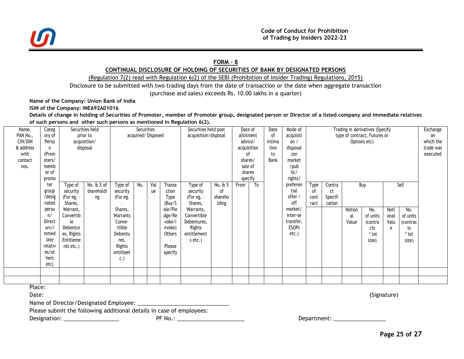

#### **FORM - 8**

#### **CONTINUAL DISCLOSURE OF HOLDING OF SECURITIES OF BANK BY DESIGNATED PERSONS**

(Regulation 7(2) read with Regulation 6(2) of the SEBI (Prohibition of Insider Trading) Regulations, 2015)

Disclosure to be submitted with two trading days from the date of transaction or the date when aggregate transaction

(purchase and sales) exceeds Rs. 10.00 lakhs in a quarter)

**Name of the Company: Union Bank of India**

**ISIN of the Company: INE692A01016**

**Details of change in holding of Securities of Promoter, member of Promoter group, designated person or Director of a listed company and immediate relatives of such persons and other such persons as mentioned in Regulation 6(2).**

| Name,     | Categ   |            | Securities held |                   | Securities |     |                      | Securities held post |         | Date of     |                 | Date                         | Mode of      | Trading in derivatives (Specify |              |        |          |      |          | Exchange  |
|-----------|---------|------------|-----------------|-------------------|------------|-----|----------------------|----------------------|---------|-------------|-----------------|------------------------------|--------------|---------------------------------|--------------|--------|----------|------|----------|-----------|
| PAN No.,  | ory of  |            | prior to        | acquired/Disposed |            |     | acquisition/disposal | allotment            |         | οf          | acquisiti       | type of contract, Futures or |              |                                 |              |        |          | on   |          |           |
| CIN/DIN   | Perso   |            | acquisition/    |                   |            |     |                      |                      |         | advice/     |                 | intima                       | on $/$       |                                 | Options etc) |        |          |      |          | which the |
| & address |         |            | disposal        |                   |            |     |                      |                      |         | acquisition |                 | tion                         | disposal     |                                 |              |        |          |      |          | trade was |
| with      | (Prom   |            |                 |                   |            |     |                      |                      |         |             | (on<br>to<br>οf |                              |              |                                 |              |        | executed |      |          |           |
| contact   | oters/  |            |                 |                   |            |     |                      |                      |         | shares/     |                 | Bank                         | market       |                                 |              |        |          |      |          |           |
| nos.      | memb    |            |                 |                   |            |     |                      |                      |         | sale of     |                 |                              | /pub         |                                 |              |        |          |      |          |           |
|           | er of   |            |                 |                   |            |     |                      |                      |         | shares      |                 |                              | lic/         |                                 |              |        |          |      |          |           |
|           | promo   |            |                 |                   |            |     |                      |                      |         | specify     |                 |                              | rights/      |                                 |              |        |          |      |          |           |
|           | ter     | Type of    | No. & % of      | Type of           | No.        | Val | Transa               | Type of              | No. & % | From        | $\overline{10}$ |                              | preferen     | Type                            | Contra       |        | Buy      |      | Sell     |           |
|           | group   | security   | shareholdi      | security          |            | ue  | ction                | security             | οf      |             |                 |                              | tial         | οf                              | ct           |        |          |      |          |           |
|           | /desig  | (For eg. - | ng              | (For eg.          |            |     | Type                 | (For eg. -           | shareho |             |                 |                              | offer /      | cont                            | Specifi      |        |          |      |          |           |
|           | nated   | Shares,    |                 |                   |            |     | (Buy/S               | Shares,              | lding   |             |                 |                              | off          | ract                            | cation       |        |          |      |          |           |
|           | perso   | Warrant,   |                 | Shares,           |            |     | ale/Ple              | Warrants,            |         |             |                 |                              | market/      |                                 |              | Notion | No.      | Noti | No.      |           |
|           | n/      | Convertib  |                 | Warrants          |            |     | dge/Re               | Convertible          |         |             |                 |                              | Inter-se     |                                 |              | al     | of units | onal | of units |           |
|           | Direct  | le         |                 | Conve-            |            |     | voke/l               | Debentures,          |         |             |                 |                              | transfer,    |                                 |              | Value  | (contra  | Valu | (contrac |           |
|           | ors/i   | Debentur   |                 | rtible            |            |     | nvoke)               | Rights               |         |             |                 |                              | <b>ESOPS</b> |                                 |              |        | cts      | e    | ts       |           |
|           | mmed    | es, Rights |                 | Debentu           |            |     | Others               | entitlement          |         |             |                 |                              | $etc.$ )     |                                 |              |        | * lot    |      | * lot    |           |
|           | iate    | Entitleme  |                 | res,              |            |     |                      | s etc.)              |         |             |                 |                              |              |                                 |              |        | size)    |      | size)    |           |
|           | relativ | nts etc.)  |                 | Rights            |            |     | Please               |                      |         |             |                 |                              |              |                                 |              |        |          |      |          |           |
|           | es/ot   |            |                 | entitleet         |            |     | specify              |                      |         |             |                 |                              |              |                                 |              |        |          |      |          |           |
|           | hers    |            |                 | C.                |            |     |                      |                      |         |             |                 |                              |              |                                 |              |        |          |      |          |           |
|           | etc)    |            |                 |                   |            |     |                      |                      |         |             |                 |                              |              |                                 |              |        |          |      |          |           |
|           |         |            |                 |                   |            |     |                      |                      |         |             |                 |                              |              |                                 |              |        |          |      |          |           |
|           |         |            |                 |                   |            |     |                      |                      |         |             |                 |                              |              |                                 |              |        |          |      |          |           |

Place:

Date: (Signature)

Name of Director/Designated Employee: \_\_\_\_\_\_\_\_\_\_\_\_\_\_\_\_\_\_\_\_\_\_\_\_\_\_\_\_\_\_

Please submit the following additional details in case of employees:

Designation: \_\_\_\_\_\_\_\_\_\_\_\_\_\_\_\_\_\_ PF No.: \_\_\_\_\_\_\_\_\_\_\_\_\_\_\_\_\_\_\_\_\_\_ Department: \_\_\_\_\_\_\_\_\_\_\_\_\_\_\_\_\_

**Page 25 of 27**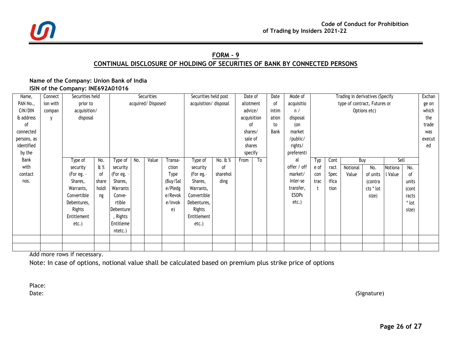

# **FORM - 9 CONTINUAL DISCLOSURE OF HOLDING OF SECURITIES OF BANK BY CONNECTED PERSONS**

#### **Name of the Company: Union Bank of India ISIN of the Company: INE692A01016**

| Name,       | Connect  | Securities held |       |           |     | Securities        |             | Securities held post  |           | Date of                                          |                        | Date  | Mode of      |      |       | Trading in derivatives (Specify |              |         |       | Exchan |
|-------------|----------|-----------------|-------|-----------|-----|-------------------|-------------|-----------------------|-----------|--------------------------------------------------|------------------------|-------|--------------|------|-------|---------------------------------|--------------|---------|-------|--------|
| PAN No.,    | ion with | prior to        |       |           |     | acquired/Disposed |             | acquisition/ disposal | allotment | οf<br>type of contract, Futures or<br>acquisitio |                        |       |              |      | ge on |                                 |              |         |       |        |
| CIN/DIN     | compan   | acquisition/    |       |           |     |                   |             |                       |           |                                                  | advice/<br>intim<br>n/ |       |              |      |       |                                 | Options etc) |         |       | which  |
| & address   |          | disposal        |       |           |     |                   |             |                       |           | acquisition                                      |                        | ation | disposal     |      |       |                                 |              |         | the   |        |
| оf          |          |                 |       |           |     |                   |             |                       |           | οf                                               |                        | to    | (on          |      |       |                                 |              |         |       | trade  |
| connected   |          |                 |       |           |     |                   |             |                       |           | shares/                                          |                        | Bank  | market       |      |       |                                 |              |         |       | was    |
| persons, as |          |                 |       |           |     |                   |             |                       |           | sale of                                          |                        |       | /public/     |      |       |                                 |              |         |       | execut |
| identified  |          |                 |       |           |     |                   |             |                       |           | shares                                           |                        |       | rights/      |      |       |                                 |              |         |       | ed     |
| by the      |          |                 |       |           |     |                   |             |                       |           | specify                                          |                        |       | preferenti   |      |       |                                 |              |         |       |        |
| Bank        |          | Type of         | No.   | Type of   | No. | Value             | Transa-     | Type of               | No. & %   | From                                             | To                     |       | al           | Typ  | Cont  | Buy                             |              | Sell    |       |        |
| with        |          | security        | $E$ % | security  |     |                   | ction       | security              | οf        |                                                  |                        |       | offer / off  | e of | ract  | Notional                        | No.          | Notiona | No.   |        |
| contact     |          | (For eg. -      | 0f    | (For eg.  |     |                   | <b>Type</b> | (For eg.-             | sharehol  |                                                  |                        |       | market/      | con  | Spec  | Value                           | of units     | l Value | 0f    |        |
| nos.        |          | Shares,         | share | Shares,   |     |                   | (Buy/Sal    | Shares,               | ding      |                                                  |                        |       | Inter-se     | trac | ifica |                                 | (contra      |         | units |        |
|             |          | Warrants,       | holdi | Warrants  |     |                   | e/Pledg     | Warrants,             |           |                                                  |                        |       | transfer,    |      | tion  |                                 | cts * lot    |         | (cont |        |
|             |          | Convertible     | ng    | Conve-    |     |                   | e/Revok     | Convertible           |           |                                                  |                        |       | <b>ESOPs</b> |      |       |                                 | size)        |         | racts |        |
|             |          | Debentures,     |       | rtible    |     |                   | e/Invok     | Debentures,           |           |                                                  |                        |       | $etc.$ )     |      |       |                                 |              |         | * lot |        |
|             |          | Rights          |       | Debenture |     |                   | e)          | Rights                |           |                                                  |                        |       |              |      |       |                                 |              |         | size) |        |
|             |          | Entitlement     |       | , Rights  |     |                   |             | Entitlement           |           |                                                  |                        |       |              |      |       |                                 |              |         |       |        |
|             |          | $etc.$ )        |       | Entitleme |     |                   |             | $etc.$ )              |           |                                                  |                        |       |              |      |       |                                 |              |         |       |        |
|             |          |                 |       | ntetc.)   |     |                   |             |                       |           |                                                  |                        |       |              |      |       |                                 |              |         |       |        |
|             |          |                 |       |           |     |                   |             |                       |           |                                                  |                        |       |              |      |       |                                 |              |         |       |        |
|             |          |                 |       |           |     |                   |             |                       |           |                                                  |                        |       |              |      |       |                                 |              |         |       |        |

Add more rows if necessary.

Note: In case of options, notional value shall be calculated based on premium plus strike price of options

Place:

Date: (Signature)